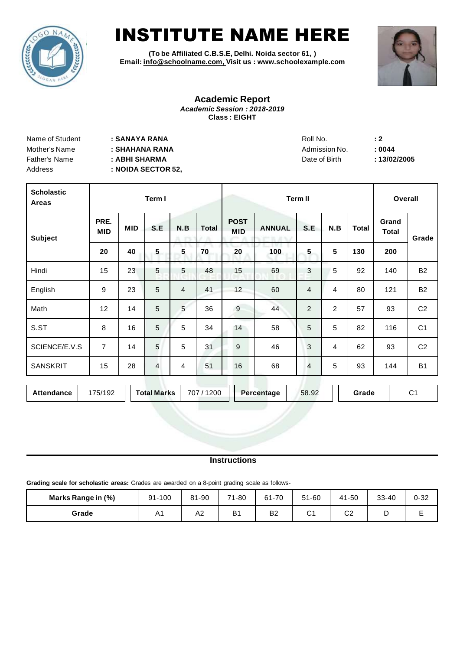

# INSTITUTE NAME HERE

**(To be Affiliated C.B.S.E, Delhi. Noida sector 61, ) Email: [info@schoolname.com, V](mailto:aaisedumzn@gmail.com)isit us : www.schoolexample.com**



#### **Academic Report** *Academic Session : 2018-2019* **Class : EIGHT**

| Name of Student | : SANAYA RANA      | Roll No.      | $\div 2$ |
|-----------------|--------------------|---------------|----------|
| Mother's Name   | : SHAHANA RANA     | Admission No. | : 0044   |
| Father's Name   | : ABHI SHARMA      | Date of Birth | :13/02   |
| Address         | : NOIDA SECTOR 52, |               |          |

| Roll No.      |  |
|---------------|--|
| Admission No. |  |
| Date of Birth |  |

Father's Name **: ABHI SHARMA** Date of Birth **: 13/02/2005**

| <b>Scholastic</b><br>Areas | Term I             |            |                |                | <b>Term II</b> |                           |               |                |                | Overall      |                       |                |
|----------------------------|--------------------|------------|----------------|----------------|----------------|---------------------------|---------------|----------------|----------------|--------------|-----------------------|----------------|
| <b>Subject</b>             | PRE.<br><b>MID</b> | <b>MID</b> | S.E            | N.B            | <b>Total</b>   | <b>POST</b><br><b>MID</b> | <b>ANNUAL</b> | S.E            | N.B            | <b>Total</b> | Grand<br><b>Total</b> | Grade          |
|                            | 20                 | 40         | 5              | 5              | 70             | 20                        | 100           | 5              | 5              | 130          | 200                   |                |
| Hindi                      | 15                 | 23         | 5              | 5              | 48             | 15                        | 69            | 3              | 5              | 92           | 140                   | <b>B2</b>      |
| English                    | 9                  | 23         | 5              | $\overline{4}$ | 41             | 12                        | 60            | $\overline{4}$ | 4              | 80           | 121                   | <b>B2</b>      |
| Math                       | 12                 | 14         | $\overline{5}$ | 5              | 36             | $\overline{9}$            | 44            | 2              | $\overline{2}$ | 57           | 93                    | C <sub>2</sub> |
| S.ST                       | 8                  | 16         | 5              | 5              | 34             | 14                        | 58            | 5              | 5              | 82           | 116                   | C <sub>1</sub> |
| SCIENCE/E.V.S              | $\overline{7}$     | 14         | 5              | 5              | 31             | 9                         | 46            | 3              | 4              | 62           | 93                    | C <sub>2</sub> |
| <b>SANSKRIT</b>            | 15                 | 28         | $\overline{4}$ | 4              | 51             | 16                        | 68            | 4              | 5              | 93           | 144                   | <b>B1</b>      |

| Attendance | 175/192 | <b>Total Marks</b> | 707/1200 | Percentage | 58.92 | Grade | ⌒.<br>ັ |
|------------|---------|--------------------|----------|------------|-------|-------|---------|
|------------|---------|--------------------|----------|------------|-------|-------|---------|

#### **Instructions**

**Grading scale for scholastic areas:** Grades are awarded on a 8-point grading scale as follows-

| Marks Range in (%) | 91-100 | 81-90 | 71-80          | 61-70          | 51-60       | 41-50          | $33 - 40$ | $0 - 32$ |
|--------------------|--------|-------|----------------|----------------|-------------|----------------|-----------|----------|
| Grade              | A1     | A2    | B <sub>1</sub> | B <sub>2</sub> | $\sim$<br>◡ | C <sub>2</sub> | ∽         |          |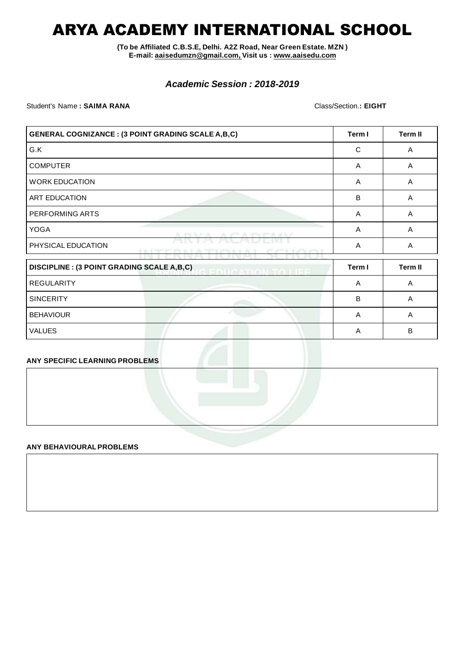## ARYA ACADEMY INTERNATIONAL SCHOOL

**(To be Affiliated C.B.S.E, Delhi. A2Z Road, Near Green Estate. MZN ) E-mail: [aaisedumzn@gmail.com, V](mailto:aaisedumzn@gmail.com)isit us : [www.aaisedu.com](http://www.aaisedu.com/)**

### *Academic Session : 2018-2019*

Student's Name **: SAIMA RANA** Class/Section.**: EIGHT**

| <b>GENERAL COGNIZANCE : (3 POINT GRADING SCALE A,B,C)</b>             | Term I                   | Term II        |
|-----------------------------------------------------------------------|--------------------------|----------------|
| G.K                                                                   | C                        | A              |
| <b>COMPUTER</b>                                                       | A                        | A              |
| <b>WORK EDUCATION</b>                                                 | A                        | A              |
| <b>ART EDUCATION</b>                                                  | B                        | A              |
| PERFORMING ARTS                                                       | A                        | A              |
| <b>YOGA</b><br><b>TENA</b><br><b>Service Street, Service</b>          | A                        | A              |
| PHYSICAL EDUCATION<br>2 IL 1727 FT PL L L<br><b>CONTRACTOR</b> IN THE | A<br><b>CONTRACTOR</b>   | A              |
| <b>DISCIPLINE : (3 POINT GRADING SCALE A,B,C)</b>                     | Term I<br>CATION TO LICE | <b>Term II</b> |
| <b>REGULARITY</b>                                                     | A                        | A              |
| <b>SINCERITY</b>                                                      | B                        | A              |
| <b>BEHAVIOUR</b>                                                      | A                        | A              |

VALUES A B

#### **ANY SPECIFIC LEARNING PROBLEMS**

#### **ANY BEHAVIOURALPROBLEMS**